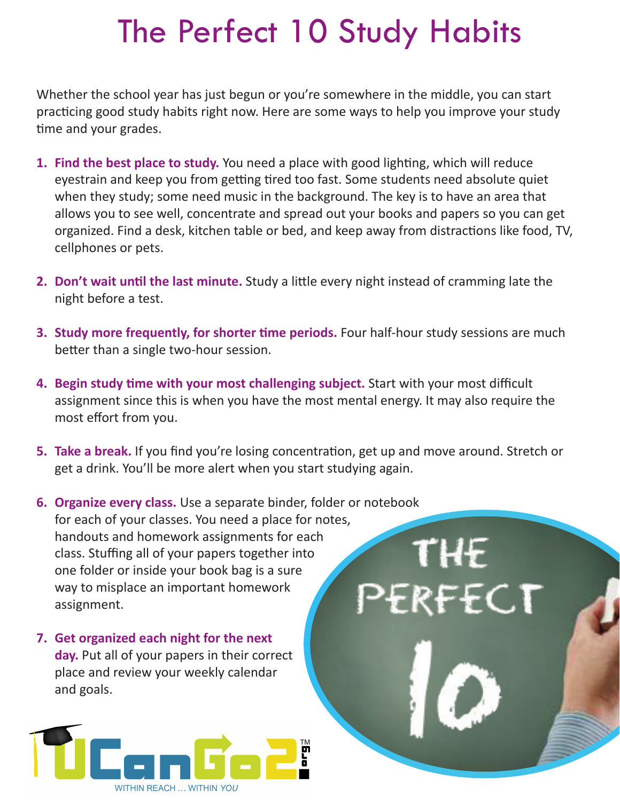## The Perfect 10 Study Habits

Whether the school year has just begun or you're somewhere in the middle, you can start practicing good study habits right now. Here are some ways to help you improve your study time and your grades.

- **1. Find the best place to study.** You need a place with good lighting, which will reduce eyestrain and keep you from getting tired too fast. Some students need absolute quiet when they study; some need music in the background. The key is to have an area that allows you to see well, concentrate and spread out your books and papers so you can get organized. Find a desk, kitchen table or bed, and keep away from distractions like food, TV, cellphones or pets.
- **2. Don't wait until the last minute.** Study a little every night instead of cramming late the night before a test.
- **3. Study more frequently, for shorter time periods.** Four half-hour study sessions are much better than a single two-hour session.
- **4. Begin study time with your most challenging subject.** Start with your most difficult assignment since this is when you have the most mental energy. It may also require the most effort from you.
- **5. Take a break.** If you find you're losing concentration, get up and move around. Stretch or get a drink. You'll be more alert when you start studying again.

THE

- **6. Organize every class.** Use a separate binder, folder or notebook for each of your classes. You need a place for notes, handouts and homework assignments for each class. Stuffing all of your papers together into one folder or inside your book bag is a sure way to misplace an important homework REFCT assignment.
- **7. Get organized each night for the next day.** Put all of your papers in their correct place and review your weekly calendar and goals.

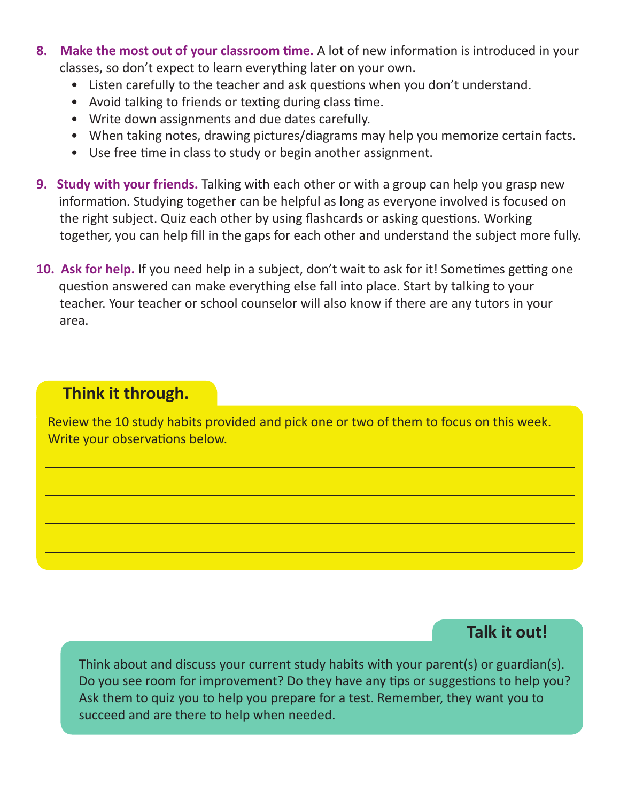- **8. Make the most out of your classroom time.** A lot of new information is introduced in your classes, so don't expect to learn everything later on your own.
	- Listen carefully to the teacher and ask questions when you don't understand.
	- Avoid talking to friends or texting during class time.
	- Write down assignments and due dates carefully.
	- When taking notes, drawing pictures/diagrams may help you memorize certain facts.
	- Use free time in class to study or begin another assignment.
- **9. Study with your friends.** Talking with each other or with a group can help you grasp new information. Studying together can be helpful as long as everyone involved is focused on the right subject. Quiz each other by using flashcards or asking questions. Working together, you can help fill in the gaps for each other and understand the subject more fully.
- **10. Ask for help.** If you need help in a subject, don't wait to ask for it! Sometimes getting one question answered can make everything else fall into place. Start by talking to your teacher. Your teacher or school counselor will also know if there are any tutors in your area.

## **Think it through.**

Review the 10 study habits provided and pick one or two of them to focus on this week. Write your observations below.

## **Talk it out!**

Think about and discuss your current study habits with your parent(s) or guardian(s). Do you see room for improvement? Do they have any tips or suggestions to help you? Ask them to quiz you to help you prepare for a test. Remember, they want you to succeed and are there to help when needed.